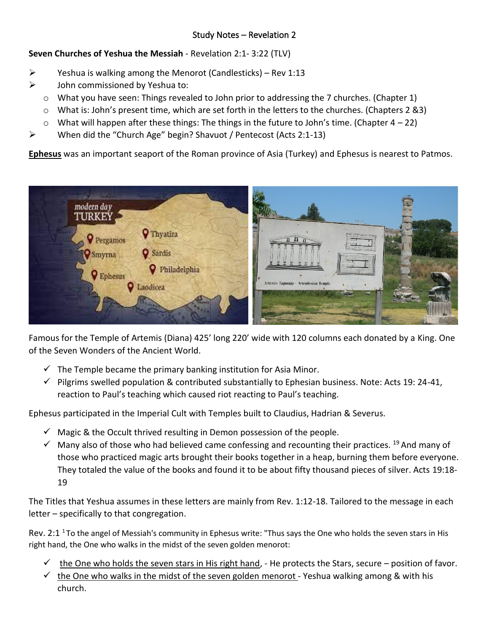# Study Notes – Revelation 2

# **Seven Churches of Yeshua the Messiah** - Revelation 2:1- 3:22 (TLV)

- $\triangleright$  Yeshua is walking among the Menorot (Candlesticks) Rev 1:13
- $\triangleright$  John commissioned by Yeshua to:
	- $\circ$  What you have seen: Things revealed to John prior to addressing the 7 churches. (Chapter 1)
	- $\circ$  What is: John's present time, which are set forth in the letters to the churches. (Chapters 2 &3)
	- $\circ$  What will happen after these things: The things in the future to John's time. (Chapter 4 22)
	- ➢ When did the "Church Age" begin? Shavuot / Pentecost (Acts 2:1-13)

**Ephesus** was an important seaport of the Roman province of Asia (Turkey) and Ephesus is nearest to Patmos.



Famous for the Temple of Artemis (Diana) 425' long 220' wide with 120 columns each donated by a King. One of the Seven Wonders of the Ancient World.

- $\checkmark$  The Temple became the primary banking institution for Asia Minor.
- $\checkmark$  Pilgrims swelled population & contributed substantially to Ephesian business. Note: Acts 19: 24-41, reaction to Paul's teaching which caused riot reacting to Paul's teaching.

Ephesus participated in the Imperial Cult with Temples built to Claudius, Hadrian & Severus.

- $\checkmark$  Magic & the Occult thrived resulting in Demon possession of the people.
- $\checkmark$  Many also of those who had believed came confessing and recounting their practices. <sup>19</sup> And many of those who practiced magic arts brought their books together in a heap, burning them before everyone. They totaled the value of the books and found it to be about fifty thousand pieces of silver. Acts 19:18- 19

The Titles that Yeshua assumes in these letters are mainly from Rev. 1:12-18. Tailored to the message in each letter – specifically to that congregation.

Rev. 2:1  $1$ To the angel of Messiah's community in Ephesus write: "Thus says the One who holds the seven stars in His right hand, the One who walks in the midst of the seven golden menorot:

- $\checkmark$  the One who holds the seven stars in His right hand, He protects the Stars, secure position of favor.
- $\checkmark$  the One who walks in the midst of the seven golden menorot Yeshua walking among & with his church.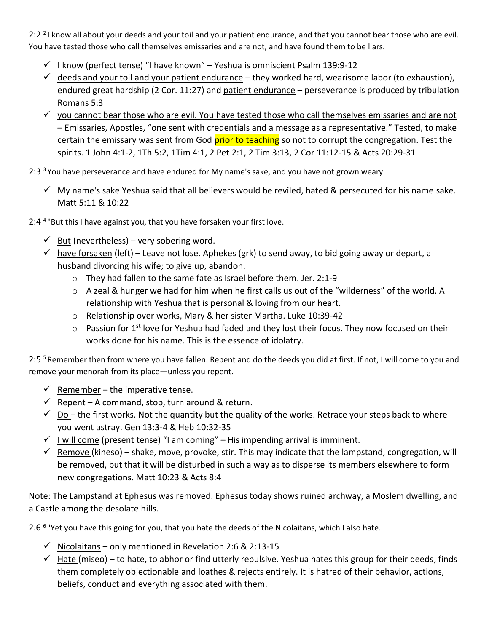2:2<sup>2</sup> know all about your deeds and your toil and your patient endurance, and that you cannot bear those who are evil. You have tested those who call themselves emissaries and are not, and have found them to be liars.

- ✓ I know (perfect tense) "I have known" Yeshua is omniscient Psalm 139:9-12
- $\checkmark$  deeds and your toil and your patient endurance they worked hard, wearisome labor (to exhaustion), endured great hardship (2 Cor. 11:27) and patient endurance – perseverance is produced by tribulation Romans 5:3
- $\checkmark$  you cannot bear those who are evil. You have tested those who call themselves emissaries and are not – Emissaries, Apostles, "one sent with credentials and a message as a representative." Tested, to make certain the emissary was sent from God prior to teaching so not to corrupt the congregation. Test the spirits. 1 John 4:1-2, 1Th 5:2, 1Tim 4:1, 2 Pet 2:1, 2 Tim 3:13, 2 Cor 11:12-15 & Acts 20:29-31
- $2:3<sup>3</sup>$  You have perseverance and have endured for My name's sake, and you have not grown weary.
	- $\checkmark$  My name's sake Yeshua said that all believers would be reviled, hated & persecuted for his name sake. Matt 5:11 & 10:22
- 2:4<sup>4</sup> "But this I have against you, that you have forsaken your first love.
	- $\checkmark$  But (nevertheless) very sobering word.
	- $\checkmark$  have forsaken (left) Leave not lose. Aphekes (grk) to send away, to bid going away or depart, a husband divorcing his wife; to give up, abandon.
		- o They had fallen to the same fate as Israel before them. Jer. 2:1-9
		- $\circ$  A zeal & hunger we had for him when he first calls us out of the "wilderness" of the world. A relationship with Yeshua that is personal & loving from our heart.
		- o Relationship over works, Mary & her sister Martha. Luke 10:39-42
		- $\circ$  Passion for 1<sup>st</sup> love for Yeshua had faded and they lost their focus. They now focused on their works done for his name. This is the essence of idolatry.

2:5<sup>5</sup> Remember then from where you have fallen. Repent and do the deeds you did at first. If not, I will come to you and remove your menorah from its place—unless you repent.

- $\checkmark$  Remember the imperative tense.
- $\checkmark$  Repent A command, stop, turn around & return.
- $\checkmark$  Do the first works. Not the quantity but the quality of the works. Retrace your steps back to where you went astray. Gen 13:3-4 & Heb 10:32-35
- $\checkmark$  I will come (present tense) "I am coming" His impending arrival is imminent.
- $\checkmark$  Remove (kineso) shake, move, provoke, stir. This may indicate that the lampstand, congregation, will be removed, but that it will be disturbed in such a way as to disperse its members elsewhere to form new congregations. Matt 10:23 & Acts 8:4

Note: The Lampstand at Ephesus was removed. Ephesus today shows ruined archway, a Moslem dwelling, and a Castle among the desolate hills.

2.6<sup>6</sup> "Yet you have this going for you, that you hate the deeds of the Nicolaitans, which I also hate.

- $\checkmark$  Nicolaitans only mentioned in Revelation 2:6 & 2:13-15
- $\checkmark$  Hate (miseo) to hate, to abhor or find utterly repulsive. Yeshua hates this group for their deeds, finds them completely objectionable and loathes & rejects entirely. It is hatred of their behavior, actions, beliefs, conduct and everything associated with them.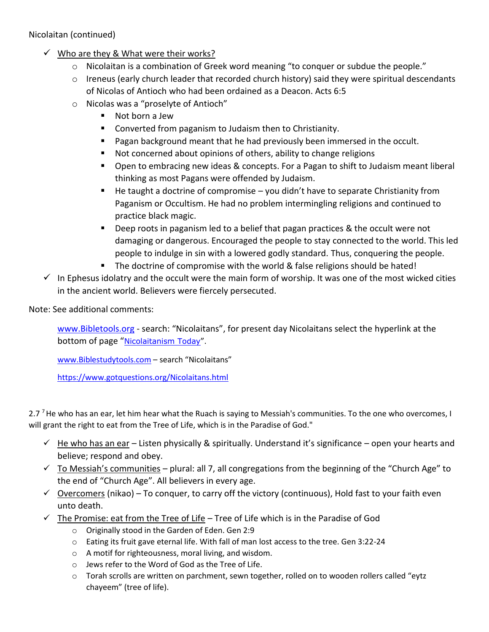Nicolaitan (continued)

- $\checkmark$  Who are they & What were their works?
	- $\circ$  Nicolaitan is a combination of Greek word meaning "to conquer or subdue the people."
	- o Ireneus (early church leader that recorded church history) said they were spiritual descendants of Nicolas of Antioch who had been ordained as a Deacon. Acts 6:5
	- o Nicolas was a "proselyte of Antioch"
		- Not born a Jew
		- Converted from paganism to Judaism then to Christianity.
		- Pagan background meant that he had previously been immersed in the occult.
		- Not concerned about opinions of others, ability to change religions
		- Open to embracing new ideas & concepts. For a Pagan to shift to Judaism meant liberal thinking as most Pagans were offended by Judaism.
		- He taught a doctrine of compromise you didn't have to separate Christianity from Paganism or Occultism. He had no problem intermingling religions and continued to practice black magic.
		- Deep roots in paganism led to a belief that pagan practices & the occult were not damaging or dangerous. Encouraged the people to stay connected to the world. This led people to indulge in sin with a lowered godly standard. Thus, conquering the people.
		- The doctrine of compromise with the world & false religions should be hated!
- $\checkmark$  In Ephesus idolatry and the occult were the main form of worship. It was one of the most wicked cities in the ancient world. Believers were fiercely persecuted.

Note: See additional comments:

[www.Bibletools.org](http://www.bibletools.org/) - search: "Nicolaitans", for present day Nicolaitans select the hyperlink at the bottom of page "[Nicolaitanism Today](https://www.bibletools.org/index.cfm/fuseaction/Library.sr/CT/PW/k/46/nicolaitanism-today.htm)".

[www.Biblestudytools.com](http://www.biblestudytools.com/) – search "Nicolaitans"

<https://www.gotquestions.org/Nicolaitans.html>

2.7<sup>7</sup> He who has an ear, let him hear what the Ruach is saying to Messiah's communities. To the one who overcomes, I will grant the right to eat from the Tree of Life, which is in the Paradise of God."

- $\checkmark$  He who has an ear Listen physically & spiritually. Understand it's significance open your hearts and believe; respond and obey.
- $\checkmark$  To Messiah's communities plural: all 7, all congregations from the beginning of the "Church Age" to the end of "Church Age". All believers in every age.
- $\checkmark$  Overcomers (nikao) To conquer, to carry off the victory (continuous), Hold fast to your faith even unto death.
- $\checkmark$  The Promise: eat from the Tree of Life Tree of Life which is in the Paradise of God
	- o Originally stood in the Garden of Eden. Gen 2:9
	- $\circ$  Eating its fruit gave eternal life. With fall of man lost access to the tree. Gen 3:22-24
	- o A motif for righteousness, moral living, and wisdom.
	- o Jews refer to the Word of God as the Tree of Life.
	- $\circ$  Torah scrolls are written on parchment, sewn together, rolled on to wooden rollers called "eytz chayeem" (tree of life).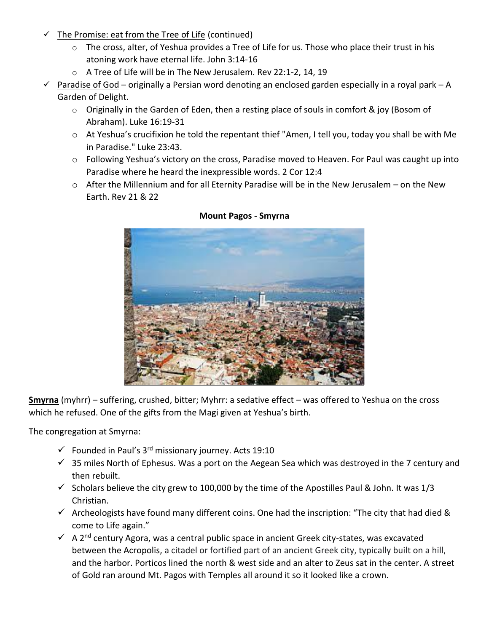- $\checkmark$  The Promise: eat from the Tree of Life (continued)
	- o The cross, alter, of Yeshua provides a Tree of Life for us. Those who place their trust in his atoning work have eternal life. John 3:14-16
	- o A Tree of Life will be in The New Jerusalem. Rev 22:1-2, 14, 19
- $\checkmark$  Paradise of God originally a Persian word denoting an enclosed garden especially in a royal park A Garden of Delight.
	- o Originally in the Garden of Eden, then a resting place of souls in comfort & joy (Bosom of Abraham). Luke 16:19-31
	- o At Yeshua's crucifixion he told the repentant thief "Amen, I tell you, today you shall be with Me in Paradise." Luke 23:43.
	- $\circ$  Following Yeshua's victory on the cross, Paradise moved to Heaven. For Paul was caught up into Paradise where he heard the inexpressible words. 2 Cor 12:4
	- o After the Millennium and for all Eternity Paradise will be in the New Jerusalem on the New Earth. Rev 21 & 22



# **Mount Pagos - Smyrna**

**Smyrna** (myhrr) – suffering, crushed, bitter; Myhrr: a sedative effect – was offered to Yeshua on the cross which he refused. One of the gifts from the Magi given at Yeshua's birth.

The congregation at Smyrna:

- $\checkmark$  Founded in Paul's 3<sup>rd</sup> missionary journey. Acts 19:10
- $\checkmark$  35 miles North of Ephesus. Was a port on the Aegean Sea which was destroyed in the 7 century and then rebuilt.
- $\checkmark$  Scholars believe the city grew to 100,000 by the time of the Apostilles Paul & John. It was 1/3 Christian.
- $\checkmark$  Archeologists have found many different coins. One had the inscription: "The city that had died & come to Life again."
- $\checkmark$  A 2<sup>nd</sup> century Agora, was a central public space in ancient Greek city-states, was excavated between the Acropolis, a citadel or fortified part of an ancient Greek city, typically built on a hill, and the harbor. Porticos lined the north & west side and an alter to Zeus sat in the center. A street of Gold ran around Mt. Pagos with Temples all around it so it looked like a crown.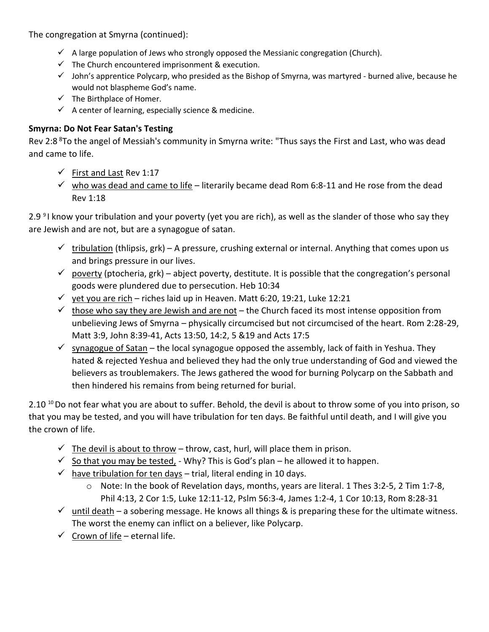The congregation at Smyrna (continued):

- $\checkmark$  A large population of Jews who strongly opposed the Messianic congregation (Church).
- $\checkmark$  The Church encountered imprisonment & execution.
- $\checkmark$  John's apprentice Polycarp, who presided as the Bishop of Smyrna, was martyred burned alive, because he would not blaspheme God's name.
- $\checkmark$  The Birthplace of Homer.
- $\checkmark$  A center of learning, especially science & medicine.

# **Smyrna: Do Not Fear Satan's Testing**

Rev 2:8<sup>8</sup>To the angel of Messiah's community in Smyrna write: "Thus says the First and Last, who was dead and came to life.

- $\checkmark$  First and Last Rev 1:17
- $\checkmark$  who was dead and came to life literarily became dead Rom 6:8-11 and He rose from the dead Rev 1:18

2.9<sup>9</sup>I know your tribulation and your poverty (yet you are rich), as well as the slander of those who say they are Jewish and are not, but are a synagogue of satan.

- $\checkmark$  tribulation (thlipsis, grk) A pressure, crushing external or internal. Anything that comes upon us and brings pressure in our lives.
- $\checkmark$  poverty (ptocheria, grk) abject poverty, destitute. It is possible that the congregation's personal goods were plundered due to persecution. Heb 10:34
- $\checkmark$  yet you are rich riches laid up in Heaven. Matt 6:20, 19:21, Luke 12:21
- $\checkmark$  those who say they are Jewish and are not the Church faced its most intense opposition from unbelieving Jews of Smyrna – physically circumcised but not circumcised of the heart. Rom 2:28-29, Matt 3:9, John 8:39-41, Acts 13:50, 14:2, 5 &19 and Acts 17:5
- $\checkmark$  synagogue of Satan the local synagogue opposed the assembly, lack of faith in Yeshua. They hated & rejected Yeshua and believed they had the only true understanding of God and viewed the believers as troublemakers. The Jews gathered the wood for burning Polycarp on the Sabbath and then hindered his remains from being returned for burial.

2.10  $^{10}$  Do not fear what you are about to suffer. Behold, the devil is about to throw some of you into prison, so that you may be tested, and you will have tribulation for ten days. Be faithful until death, and I will give you the crown of life.

- $\checkmark$  The devil is about to throw throw, cast, hurl, will place them in prison.
- $\checkmark$  So that you may be tested, Why? This is God's plan he allowed it to happen.
- $\checkmark$  have tribulation for ten days trial, literal ending in 10 days.
	- o Note: In the book of Revelation days, months, years are literal. 1 Thes 3:2-5, 2 Tim 1:7-8, Phil 4:13, 2 Cor 1:5, Luke 12:11-12, Pslm 56:3-4, James 1:2-4, 1 Cor 10:13, Rom 8:28-31
- $\checkmark$  until death a sobering message. He knows all things & is preparing these for the ultimate witness. The worst the enemy can inflict on a believer, like Polycarp.
- $\checkmark$  Crown of life eternal life.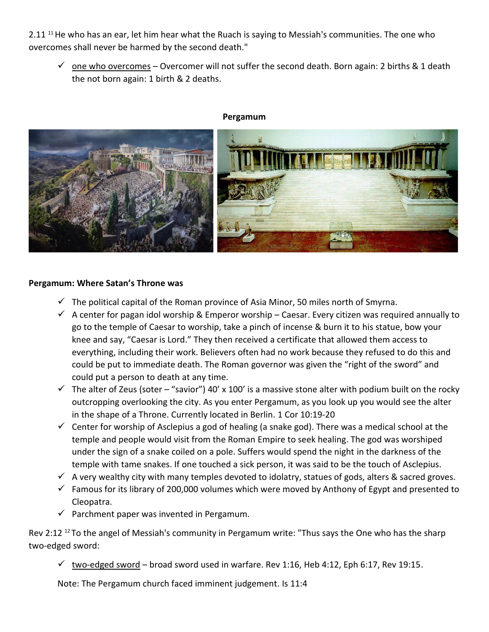2.11<sup>11</sup> He who has an ear, let him hear what the Ruach is saying to Messiah's communities. The one who overcomes shall never be harmed by the second death."

 $\checkmark$  one who overcomes – Overcomer will not suffer the second death. Born again: 2 births & 1 death the not born again: 1 birth & 2 deaths.



### **Pergamum**

## **Pergamum: Where Satan's Throne was**

- $\checkmark$  The political capital of the Roman province of Asia Minor, 50 miles north of Smyrna.
- $\checkmark$  A center for pagan idol worship & Emperor worship Caesar. Every citizen was required annually to go to the temple of Caesar to worship, take a pinch of incense & burn it to his statue, bow your knee and say, "Caesar is Lord." They then received a certificate that allowed them access to everything, including their work. Believers often had no work because they refused to do this and could be put to immediate death. The Roman governor was given the "right of the sword" and could put a person to death at any time.
- $\checkmark$  The alter of Zeus (soter "savior") 40' x 100' is a massive stone alter with podium built on the rocky outcropping overlooking the city. As you enter Pergamum, as you look up you would see the alter in the shape of a Throne. Currently located in Berlin. 1 Cor 10:19-20
- $\checkmark$  Center for worship of Asclepius a god of healing (a snake god). There was a medical school at the temple and people would visit from the Roman Empire to seek healing. The god was worshiped under the sign of a snake coiled on a pole. Suffers would spend the night in the darkness of the temple with tame snakes. If one touched a sick person, it was said to be the touch of Asclepius.
- $\checkmark$  A very wealthy city with many temples devoted to idolatry, statues of gods, alters & sacred groves.
- $\checkmark$  Famous for its library of 200,000 volumes which were moved by Anthony of Egypt and presented to Cleopatra.
- $\checkmark$  Parchment paper was invented in Pergamum.

Rev 2:12<sup>12</sup> To the angel of Messiah's community in Pergamum write: "Thus says the One who has the sharp two-edged sword:

 $√$  two-edged sword – broad sword used in warfare. Rev 1:16, Heb 4:12, Eph 6:17, Rev 19:15.

Note: The Pergamum church faced imminent judgement. Is 11:4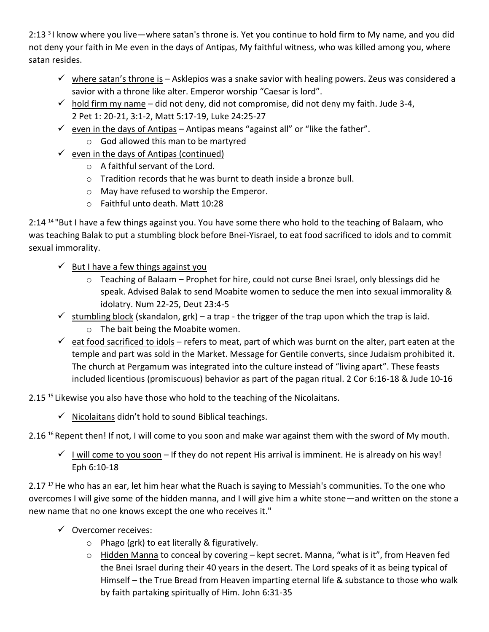2:13<sup>3</sup> know where you live—where satan's throne is. Yet you continue to hold firm to My name, and you did not deny your faith in Me even in the days of Antipas, My faithful witness, who was killed among you, where satan resides.

- $\checkmark$  where satan's throne is Asklepios was a snake savior with healing powers. Zeus was considered a savior with a throne like alter. Emperor worship "Caesar is lord".
- $\checkmark$  hold firm my name did not deny, did not compromise, did not deny my faith. Jude 3-4, 2 Pet 1: 20-21, 3:1-2, Matt 5:17-19, Luke 24:25-27
- $\checkmark$  even in the days of Antipas Antipas means "against all" or "like the father".
	- o God allowed this man to be martyred
- $\checkmark$  even in the days of Antipas (continued)
	- o A faithful servant of the Lord.
	- o Tradition records that he was burnt to death inside a bronze bull.
	- o May have refused to worship the Emperor.
	- o Faithful unto death. Matt 10:28

2:14<sup>14</sup> "But I have a few things against you. You have some there who hold to the teaching of Balaam, who was teaching Balak to put a stumbling block before Bnei-Yisrael, to eat food sacrificed to idols and to commit sexual immorality.

- $\checkmark$  But I have a few things against you
	- $\circ$  Teaching of Balaam Prophet for hire, could not curse Bnei Israel, only blessings did he speak. Advised Balak to send Moabite women to seduce the men into sexual immorality & idolatry. Num 22-25, Deut 23:4-5
- $\checkmark$  stumbling block (skandalon, grk) a trap the trigger of the trap upon which the trap is laid.
	- o The bait being the Moabite women.
- $\checkmark$  eat food sacrificed to idols refers to meat, part of which was burnt on the alter, part eaten at the temple and part was sold in the Market. Message for Gentile converts, since Judaism prohibited it. The church at Pergamum was integrated into the culture instead of "living apart". These feasts included licentious (promiscuous) behavior as part of the pagan ritual. 2 Cor 6:16-18 & Jude 10-16
- 2.15<sup>15</sup> Likewise you also have those who hold to the teaching of the Nicolaitans.
	- $\checkmark$  Nicolaitans didn't hold to sound Biblical teachings.

2.16 <sup>16</sup> Repent then! If not, I will come to you soon and make war against them with the sword of My mouth.

 $\checkmark$  I will come to you soon – If they do not repent His arrival is imminent. He is already on his way! Eph 6:10-18

2.17<sup>17</sup> He who has an ear, let him hear what the Ruach is saying to Messiah's communities. To the one who overcomes I will give some of the hidden manna, and I will give him a white stone—and written on the stone a new name that no one knows except the one who receives it."

- ✓ Overcomer receives:
	- o Phago (grk) to eat literally & figuratively.
	- o Hidden Manna to conceal by covering kept secret. Manna, "what is it", from Heaven fed the Bnei Israel during their 40 years in the desert. The Lord speaks of it as being typical of Himself – the True Bread from Heaven imparting eternal life & substance to those who walk by faith partaking spiritually of Him. John 6:31-35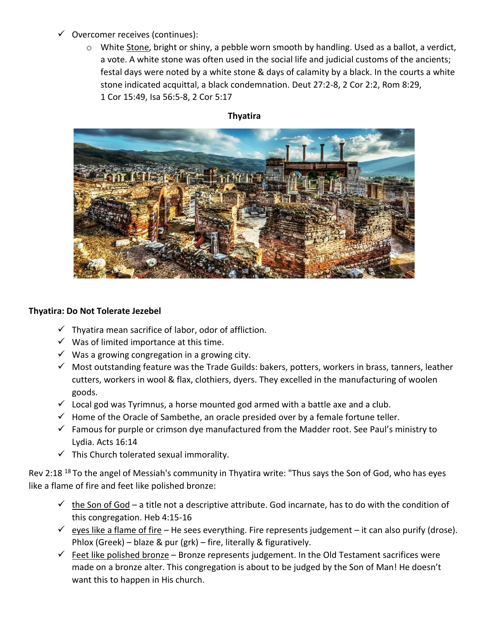- $\checkmark$  Overcomer receives (continues):
	- o White Stone, bright or shiny, a pebble worn smooth by handling. Used as a ballot, a verdict, a vote. A white stone was often used in the social life and judicial customs of the ancients; festal days were noted by a white stone & days of calamity by a black. In the courts a white stone indicated acquittal, a black condemnation. Deut 27:2-8, 2 Cor 2:2, Rom 8:29, 1 Cor 15:49, Isa 56:5-8, 2 Cor 5:17

# **Thyatira**

# **Thyatira: Do Not Tolerate Jezebel**

- $\checkmark$  Thyatira mean sacrifice of labor, odor of affliction.
- $\checkmark$  Was of limited importance at this time.
- $\checkmark$  Was a growing congregation in a growing city.
- $\checkmark$  Most outstanding feature was the Trade Guilds: bakers, potters, workers in brass, tanners, leather cutters, workers in wool & flax, clothiers, dyers. They excelled in the manufacturing of woolen goods.
- $\checkmark$  Local god was Tyrimnus, a horse mounted god armed with a battle axe and a club.
- $\checkmark$  Home of the Oracle of Sambethe, an oracle presided over by a female fortune teller.
- $\checkmark$  Famous for purple or crimson dye manufactured from the Madder root. See Paul's ministry to Lydia. Acts 16:14
- $\checkmark$  This Church tolerated sexual immorality.

Rev 2:18<sup>18</sup> To the angel of Messiah's community in Thyatira write: "Thus says the Son of God, who has eyes like a flame of fire and feet like polished bronze:

- $\checkmark$  the Son of God a title not a descriptive attribute. God incarnate, has to do with the condition of this congregation. Heb 4:15-16
- $\checkmark$  eyes like a flame of fire He sees everything. Fire represents judgement it can also purify (drose). Phlox (Greek) – blaze & pur (grk) – fire, literally & figuratively.
- $\checkmark$  Feet like polished bronze Bronze represents judgement. In the Old Testament sacrifices were made on a bronze alter. This congregation is about to be judged by the Son of Man! He doesn't want this to happen in His church.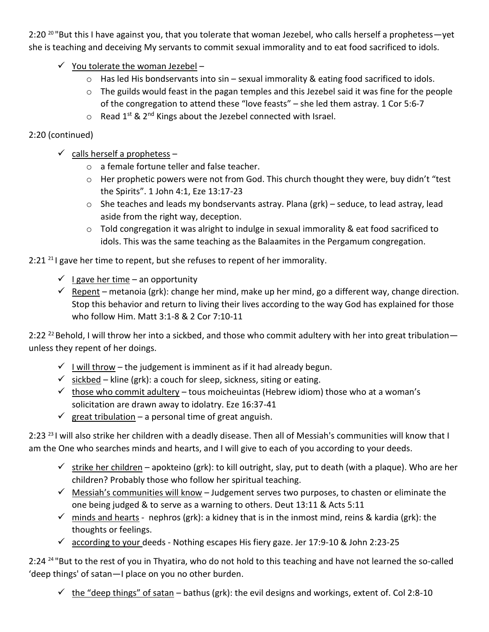2:20<sup>20</sup> "But this I have against you, that you tolerate that woman Jezebel, who calls herself a prophetess—yet she is teaching and deceiving My servants to commit sexual immorality and to eat food sacrificed to idols.

- $\checkmark$  You tolerate the woman Jezebel
	- o Has led His bondservants into sin sexual immorality & eating food sacrificed to idols.
	- o The guilds would feast in the pagan temples and this Jezebel said it was fine for the people of the congregation to attend these "love feasts" – she led them astray. 1 Cor 5:6-7
	- $\circ$  Read 1<sup>st</sup> & 2<sup>nd</sup> Kings about the Jezebel connected with Israel.

# 2:20 (continued)

- $\checkmark$  calls herself a prophetess
	- o a female fortune teller and false teacher.
	- o Her prophetic powers were not from God. This church thought they were, buy didn't "test the Spirits". 1 John 4:1, Eze 13:17-23
	- o She teaches and leads my bondservants astray. Plana (grk) seduce, to lead astray, lead aside from the right way, deception.
	- $\circ$  Told congregation it was alright to indulge in sexual immorality & eat food sacrificed to idols. This was the same teaching as the Balaamites in the Pergamum congregation.

 $2:21^{21}$  gave her time to repent, but she refuses to repent of her immorality.

- $\checkmark$  I gave her time an opportunity
- $\checkmark$  Repent metanoia (grk): change her mind, make up her mind, go a different way, change direction. Stop this behavior and return to living their lives according to the way God has explained for those who follow Him. Matt 3:1-8 & 2 Cor 7:10-11

2:22<sup>22</sup> Behold, I will throw her into a sickbed, and those who commit adultery with her into great tribulationunless they repent of her doings.

- $\checkmark$  I will throw the judgement is imminent as if it had already begun.
- $\checkmark$  sickbed kline (grk): a couch for sleep, sickness, siting or eating.
- $\checkmark$  those who commit adultery tous moicheuintas (Hebrew idiom) those who at a woman's solicitation are drawn away to idolatry. Eze 16:37-41
- $\checkmark$  great tribulation a personal time of great anguish.

2:23<sup>23</sup> I will also strike her children with a deadly disease. Then all of Messiah's communities will know that I am the One who searches minds and hearts, and I will give to each of you according to your deeds.

- $\checkmark$  strike her children apokteino (grk): to kill outright, slay, put to death (with a plaque). Who are her children? Probably those who follow her spiritual teaching.
- $\checkmark$  Messiah's communities will know Judgement serves two purposes, to chasten or eliminate the one being judged & to serve as a warning to others. Deut 13:11 & Acts 5:11
- $\checkmark$  minds and hearts nephros (grk): a kidney that is in the inmost mind, reins & kardia (grk): the thoughts or feelings.
- $\checkmark$  according to your deeds Nothing escapes His fiery gaze. Jer 17:9-10 & John 2:23-25

2:24<sup>24</sup> "But to the rest of you in Thyatira, who do not hold to this teaching and have not learned the so-called 'deep things' of satan—I place on you no other burden.

 $\checkmark$  the "deep things" of satan – bathus (grk): the evil designs and workings, extent of. Col 2:8-10